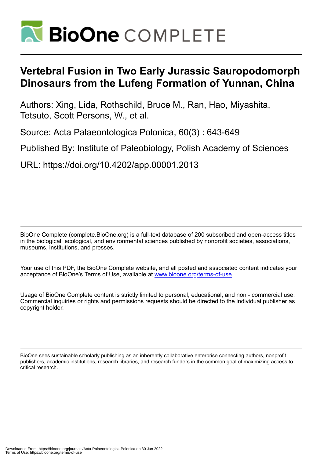

# **Vertebral Fusion in Two Early Jurassic Sauropodomorph Dinosaurs from the Lufeng Formation of Yunnan, China**

Authors: Xing, Lida, Rothschild, Bruce M., Ran, Hao, Miyashita, Tetsuto, Scott Persons, W., et al.

Source: Acta Palaeontologica Polonica, 60(3) : 643-649

Published By: Institute of Paleobiology, Polish Academy of Sciences

URL: https://doi.org/10.4202/app.00001.2013

BioOne Complete (complete.BioOne.org) is a full-text database of 200 subscribed and open-access titles in the biological, ecological, and environmental sciences published by nonprofit societies, associations, museums, institutions, and presses.

Your use of this PDF, the BioOne Complete website, and all posted and associated content indicates your acceptance of BioOne's Terms of Use, available at www.bioone.org/terms-of-use.

Usage of BioOne Complete content is strictly limited to personal, educational, and non - commercial use. Commercial inquiries or rights and permissions requests should be directed to the individual publisher as copyright holder.

BioOne sees sustainable scholarly publishing as an inherently collaborative enterprise connecting authors, nonprofit publishers, academic institutions, research libraries, and research funders in the common goal of maximizing access to critical research.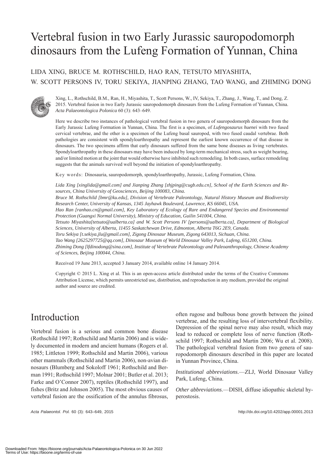# Vertebral fusion in two Early Jurassic sauropodomorph dinosaurs from the Lufeng Formation of Yunnan, China

#### LIDA XING, BRUCE M. ROTHSCHILD, HAO RAN, TETSUTO MIYASHITA, W. SCOTT PERSONS IV, TORU SEKIYA, JIANPING ZHANG, TAO WANG, and ZHIMING DONG



Xing, L., Rothschild, B.M., Ran, H., Miyashita, T., Scott Persons, W., IV, Sekiya, T., Zhang, J., Wang, T., and Dong, Z. 2015. Vertebral fusion in two Early Jurassic sauropodomorph dinosaurs from the Lufeng Formation of Yunnan, China. *Acta Palaeontologica Polonica* 60 (3): 643–649.

Here we describe two instances of pathological vertebral fusion in two genera of sauropodomorph dinosaurs from the Early Jurassic Lufeng Formation in Yunnan, China. The first is a specimen, of *Lufengosaurus huenei* with two fused cervical vertebrae, and the other is a specimen of the Lufeng basal sauropod, with two fused caudal vertebrae. Both pathologies are consistent with spondyloarthropathy and represent the earliest known occurrence of that disease in dinosaurs. The two specimens affirm that early dinosaurs suffered from the same bone diseases as living vertebrates. Spondyloarthropathy in these dinosaurs may have been induced by long-term mechanical stress, such as weight bearing, and/or limited motion at the joint that would otherwise have inhibited such remodeling. In both cases, surface remodeling suggests that the animals survived well beyond the initiation of spondyloarthropathy.

Key words: Dinosauria, sauropodomorph, spondyloarthropathy, Jurassic, Lufeng Formation, China.

*Lida Xing [xinglida@gmail.com] and Jianping Zhang [zhjping@cugb.edu.cn], School of the Earth Sciences and Resources, China University of Geosciences, Beijing 100083, China.*

*Bruce M. Rothschild [bmr@ku.edu], Division of Vertebrate Paleontology, Natural History Museum and Biodiversity Research Center, University of Kansas, 1345 Jayhawk Boulevard, Lawrence, KS 66045, USA.*

*Hao Ran [ranhao.cn@gmail.com], Key Laboratory of Ecology of Rare and Endangered Species and Environmental Protection (Guangxi Normal University), Ministry of Education, Guilin 541004, China.*

*Tetsuto Miyashita[tetsuto@ualberta.ca] and W. Scott Persons IV [persons@ualberta.ca], Department of Biological Sciences, University of Alberta, 11455 Saskatchewan Drive, Edmonton, Alberta T6G 2E9, Canada.*

*Toru Sekiya [t.sekiya.jlu@gmail.com], Zigong Dinosaur Museum, Zigong 643013, Sichuan, China.*

*Tao Wang [2625297725@qq.com], Dinosaur Museum of World Dinosaur Valley Park, Lufeng, 651200, China.*

*Zhiming Dong [lfdinodong@sina.com], Institute of Vertebrate Paleontology and Paleoanthropology, Chinese Academy of Sciences, Beijing 100044, China.*

Received 19 June 2013, accepted 3 January 2014, available online 14 January 2014.

Copyright © 2015 L. Xing et al. This is an open-access article distributed under the terms of the Creative Commons Attribution License, which permits unrestricted use, distribution, and reproduction in any medium, provided the original author and source are credited.

## Introduction

Vertebral fusion is a serious and common bone disease (Rothschild 1997; Rothschild and Martin 2006) and is widely documented in modern and ancient humans (Rogers et al. 1985; Littleton 1999; Rothschild and Martin 2006), various other mammals (Rothschild and Martin 2006), non-avian dinosaurs (Blumberg and Sokoloff 1961; Rothschild and Berman 1991; Rothschild 1997; Molnar 2001; Butler et al. 2013; Farke and O'Connor 2007), reptiles (Rothschild 1997), and fishes (Britz and Johnson 2005). The most obvious causes of vertebral fusion are the ossification of the annulus fibrosus,

often rugose and bulbous bone growth between the joined vertebrae, and the resulting loss of intervertebral flexibility. Depression of the spinal nerve may also result, which may lead to reduced or complete loss of nerve function (Rothschild 1997; Rothschild and Martin 2006; Wu et al. 2008). The pathological vertebral fusion from two genera of sauropodomorph dinosaurs described in this paper are located in Yunnan Province, China.

*Institutional abbreviations*.—ZLJ, World Dinosaur Valley Park, Lufeng, China.

*Other abbreviations*.—DISH, diffuse idiopathic skeletal hyperostosis.

*Acta Palaeontol. Pol.* 60 (3): 643–649, 2015 http://dx.doi.org/10.4202/app.00001.2013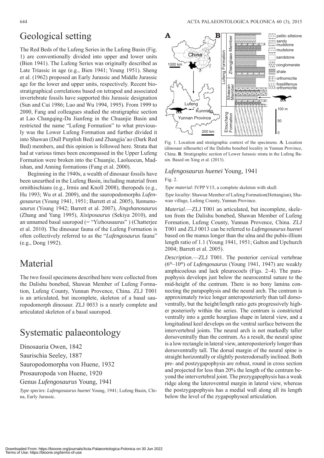### Geological setting

The Red Beds of the Lufeng Series in the Lufeng Basin (Fig. 1) are conventionally divided into upper and lower units (Bien 1941). The Lufeng Series was originally described as Late Triassic in age (e.g., Bien 1941; Young 1951). Sheng et al. (1962) proposed an Early Jurassic and Middle Jurassic age for the lower and upper units, respectively. Recent biostratigraphical correlations based on tetrapod and associated invertebrate fossils have supported this Jurassic designation (Sun and Cui 1986; Luo and Wu 1994, 1995). From 1999 to 2000, Fang and colleagues studied the stratigraphic section at Lao Changqing-Da Jianfeng in the Chuanjie Basin and restricted the name "Lufeng Formation" to what previously was the Lower Lufeng Formation and further divided it into Shawan (Dull Purplish Bed) and Zhangjia'ao (Dark Red Bed) members, and this opinion is followed here. Strata that had at various times been encompassed in the Upper Lufeng Formation were broken into the Chuanjie, Laoluocun, Madishan, and Anning formations (Fang et al. 2000).

Beginning in the 1940s, a wealth of dinosaur fossils have been unearthed in the Lufeng Basin, including material from ornithischians (e.g., Irmis and Knoll 2008), theropods (e.g., Hu 1993; Wu et al. 2009), and the sauropodomorphs *Lufengosaurus* (Young 1941, 1951; Barrett et al. 2005), *Yunnanosaurus* (Young 1942; Barrett et al. 2007), *Jingshanosaurus* (Zhang and Yang 1995), *Xixiposaurus* (Sekiya 2010), and an unnamed basal sauropod (= "Yizhousaurus" ) (Chatterjee et al. 2010). The dinosaur fauna of the Lufeng Formation is often collectively referred to as the "*Lufengosaurus* fauna" (e.g., Dong 1992).

## Material

The two fossil specimens described here were collected from the Dalishu bonebed, Shawan Member of Lufeng Formation, Lufeng County, Yunnan Provence, China. ZLJ T001 is an articulated, but incomplete, skeleton of a basal sauropodomorph dinosaur. ZLJ 0033 is a nearly complete and articulated skeleton of a basal sauropod.

# Systematic palaeontology

Dinosauria Owen, 1842

Saurischia Seeley, 1887

Sauropodomorpha von Huene, 1932

Prosauropoda von Huene, 1920

Genus *Lufengosaurus* Young, 1941

*Type species*: *Lufengosaurus huenei* Young, 1941; Lufeng Basin, China, Early Jurassic.



Fig. 1. Location and stratigraphic context of the specimens. **A**. Location (dinosaur silhouette) of the Dalishu bonebed locality in Yunnan Province, China. **B**. Stratigraphic section of Lower Jurassic strata in the Lufeng Basin. Based on Xing et al. (2013).

#### *Lufengosaurus huenei* Young, 1941 Fig. 2.

*Type material*: IVPP V15, a complete skeleton with skull.

*Type locality*: Shawan Member of Lufeng Formation(Hettangian), Shawan village, Lufeng County, Yunnan Province.

*Material*.—ZLJ T001 an articulated, but incomplete, skeleton from the Dalishu bonebed, Shawan Member of Lufeng Formation, Lufeng County, Yunnan Provence, China. ZLJ T001 and ZLJ 0013 can be referred to *Lufengosaurus huenei* based on the manus longer than the ulna and the pubis-illium length ratio of 1.1 (Young 1941, 1951; Galton and Upchurch 2004; Barrett et al. 2005).

*Description*.—ZLJ T001. The posterior cervical vertebrae (6th–10th) of *Lufengosaurus* (Young 1941, 1947) are weakly amphicoelous and lack pleurocoels (Figs. 2–4). The parapophysis develops just below the neurocentral suture to the mid-height of the centrum. There is no bony lamina connecting the parapophysis and the neural arch. The centrum is approximately twice longer anteroposteriorly than tall dorsoventrally, but the height/length ratio gets progressively higher posteriorly within the series. The centrum is constricted ventrally into a gentle hourglass shape in lateral view, and a longitudinal keel develops on the ventral surface between the intervertebral joints. The neural arch is not markedly taller dorsoventrally than the centrum. As a result, the neural spine is a low rectangle in lateral view, anteroposteriorly longer than dorsoventrally tall. The dorsal margin of the neural spine is straight horizontally or slightly posterodorsally inclined. Both pre- and postzygapophysis are robust, round in cross section and projected for less than 20% the length of the centrum beyond the intervertebral joint. The prezygapophysis has a weak ridge along the lateroventral margin in lateral view, whereas the postzygapophysis has a medial wall along all its length **Example 1981**<br>  $\begin{bmatrix}\n\sqrt{1} & \sqrt{1} & \sqrt{1} \\
\sqrt{2} & \sqrt{1} & \sqrt{1} \\
\sqrt{2} & \sqrt{1} & \sqrt{1} \\
\sqrt{2} & \sqrt{1} & \sqrt{1} \\
\sqrt{2} & \sqrt{1} & \sqrt{1} \\
\sqrt{2} & \sqrt{1} & \sqrt{1} \\
\sqrt{2} & \sqrt{1} & \sqrt{1} \\
\sqrt{2} & \sqrt{1} & \sqrt{1} \\
\sqrt{2} & \sqrt{1} & \sqrt{1} \\
\sqrt{2} & \sqrt{1} & \sqrt{1} \\
\sqrt{2} & \sqrt{1} & \sqrt{1}$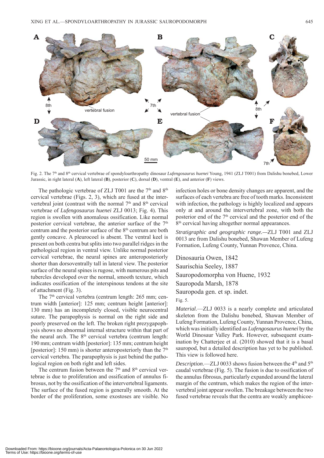

Fig. 2. The 7th and 8th cervical vertebrae of spondyloarthropathy dinosaur *Lufengosaurus huenei* Young, 1941 (ZLJ T001) from Dalishu bonebed, Lower Jurassic, in right lateral (**A**), left lateral (**B**), posterior (**C**), dorsal (**D**), ventral (**E**), and anterior (**F**) views.

The pathologic vertebrae of ZLJ T001 are the  $7<sup>th</sup>$  and  $8<sup>th</sup>$ cervical vertebrae (Figs. 2, 3), which are fused at the intervertebral joint (contrast with the normal  $7<sup>th</sup>$  and  $8<sup>th</sup>$  cervical vertebrae of *Lufengosaurus huenei* ZLJ 0013; Fig. 4). This region is swollen with anomalous ossification. Like normal posterior cervical vertebrae, the anterior surface of the  $7<sup>th</sup>$ centrum and the posterior surface of the 8th centrum are both gently concave. A pleurocoel is absent. The ventral keel is present on both centra but splits into two parallel ridges in the pathological region in ventral view. Unlike normal posterior cervical vertebrae, the neural spines are anteroposteriorly shorter than dorsoventrally tall in lateral view. The posterior surface of the neural spines is rugose, with numerous pits and tubercles developed over the normal, smooth texture, which indicates ossification of the interspinous tendons at the site of attachment (Fig. 3).

The 7<sup>th</sup> cervical vertebra (centrum length: 265 mm; centrum width [anterior]: 125 mm; centrum height [anterior]: 130 mm) has an incompletely closed, visible neurocentral suture. The parapophysis is normal on the right side and poorly preserved on the left. The broken right prezygapophysis shows no abnormal internal structure within that part of the neural arch. The  $8<sup>th</sup>$  cervical vertebra (centrum length: 190 mm; centrum width [posterior]: 135 mm; centrum height [posterior]: 150 mm) is shorter anteroposteriorly than the  $7<sup>th</sup>$ cervical vertebra. The parapophysis is just behind the pathological region on both right and left sides.

The centrum fusion between the  $7<sup>th</sup>$  and  $8<sup>th</sup>$  cervical vertebrae is due to proliferation and ossification of annulus fibrosus, not by the ossification of the intervertebral ligaments. The surface of the fused region is generally smooth. At the border of the proliferation, some exostoses are visible. No infection holes or bone density changes are apparent, and the surfaces of each vertebra are free of tooth marks. Inconsistent with infection, the pathology is highly localized and appears only at and around the intervertebral zone, with both the posterior end of the  $7<sup>th</sup>$  cervical and the posterior end of the 8<sup>th</sup> cervical having altogether normal appearances.

*Stratigraphic and geographic range.—*ZLJ T001 and ZLJ 0013 are from Dalishu bonebed, Shawan Member of Lufeng Formation, Lufeng County, Yunnan Provence, China.

Dinosauria Owen, 1842 Saurischia Seeley, 1887 Sauropodomorpha von Huene, 1932 Sauropoda Marsh, 1878 Sauropoda gen. et sp. indet. Fig. 5.

*Material*.—ZLJ 0033 is a nearly complete and articulated skeleton from the Dalishu bonebed, Shawan Member of Lufeng Formation, Lufeng County, Yunnan Provence, China, which was initially identified as *Lufengosaurus huenei* by the World Dinosaur Valley Park. However, subsequent examination by Chatterjee et al. (2010) showed that it is a basal sauropod, but a detailed description has yet to be published. This view is followed here.

*Description*.—ZLJ 0033 shows fusion between the 4<sup>th</sup> and 5<sup>th</sup> caudal vertebrae (Fig. 5). The fusion is due to ossification of the annulus fibrosus, particularly expanded around the lateral margin of the centrum, which makes the region of the intervertebral joint appear swollen. The breakage between the two fused vertebrae reveals that the centra are weakly amphicoe-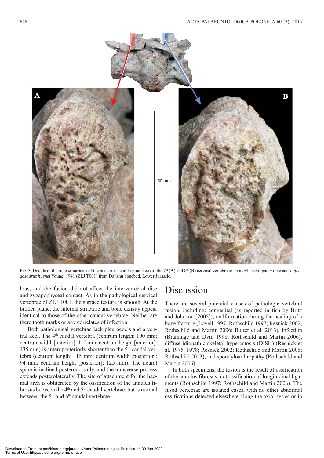![](_page_4_Figure_1.jpeg)

Fig. 3. Details of the rugose surfaces of the posterior neural-spine faces of the 7<sup>th</sup> (**A**) and 8<sup>th</sup> (**B**) cervical vertebra of spondyloarthropathy dinosaur *Lufengosaurus huenei* Young, 1941 (ZLJ T001) from Dalishu bonebed, Lower Jurassic.

lous, and the fusion did not affect the intervertebral disc and zygapophyseal contact. As in the pathological cervical vertebrae of ZLJ T001, the surface texture is smooth. At the broken plane, the internal structure and bone density appear identical to those of the other caudal vertebrae. Neither are there tooth marks or any correlates of infection.

Both pathological vertebrae lack pleurocoels and a ventral keel. The 4<sup>th</sup> caudal vertebra (centrum length: 100 mm; centrum width [anterior]: 110 mm; centrum height [anterior]: 135 mm) is anteroposteriorly shorter than the  $5<sup>th</sup>$  caudal vertebra (centrum length: 115 mm; centrum width [posterior]: 94 mm; centrum height [posterior]: 125 mm). The neural spine is inclined posterodorsally, and the transverse process extends posterolaterally. The site of attachment for the haemal arch is obliterated by the ossification of the annulus fibrosus between the 4<sup>th</sup> and 5<sup>th</sup> caudal vertebrae, but is normal between the  $5<sup>th</sup>$  and  $6<sup>th</sup>$  caudal vertebrae.

#### Discussion

There are several potential causes of pathologic vertebral fusion, including: congenital (as reported in fish by Britz and Johnson [2005]), malformation during the healing of a bone fracture (Lovell 1997; Rothschild 1997; Resnick 2002; Rothschild and Martin 2006; Bulter et al. 2013), infection (Bramlage and Dvm 1998; Rothschild and Martin 2006), diffuse idiopathic skeletal hyperostosis (DISH) (Resnick et al. 1975, 1978; Resnick 2002; Rothschild and Martin 2006; Rothschild 2013), and spondyloarthropathy (Rothschild and Martin 2006).

In both specimens, the fusion is the result of ossification of the annulus fibrosus, not ossification of longitudinal ligaments (Rothschild 1997; Rothschild and Martin 2006). The fused vertebrae are isolated cases, with no other abnormal ossifications detected elsewhere along the axial series or in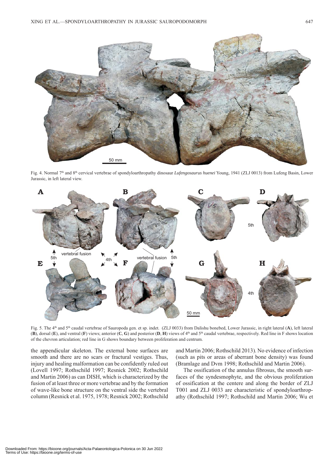![](_page_5_Picture_1.jpeg)

Fig. 4. Normal 7th and 8th cervical vertebrae of spondyloarthropathy dinosaur *Lufengosaurus huenei* Young, 1941 (ZLJ 0013) from Lufeng Basin, Lower Jurassic, in left lateral view.

![](_page_5_Figure_3.jpeg)

Fig. 5. The 4<sup>th</sup> and 5<sup>th</sup> caudal vertebrae of Sauropoda gen. et sp. indet. (ZLJ 0033) from Dalishu bonebed, Lower Jurassic, in right lateral (A), left lateral (**B**), dorsal (**E**), and ventral (**F**) views; anterior (**C**, **G**) and posterior (**D**, **H**) views of 4th and 5th caudal vertebrae, respectively. Red line in F shows location of the chevron articulation; red line in G shows boundary between proliferation and centrum.

the appendicular skeleton. The external bone surfaces are smooth and there are no scars or fractural vestiges. Thus, injury and healing malformation can be confidently ruled out (Lovell 1997; Rothschild 1997; Resnick 2002; Rothschild and Martin 2006) as can DISH, which is characterized by the fusion of at least three or more vertebrae and by the formation of wave-like bone structure on the ventral side the vertebral column (Resnick et al. 1975, 1978; Resnick 2002; Rothschild and Martin 2006; Rothschild 2013). No evidence of infection (such as pits or areas of aberrant bone density) was found (Bramlage and Dvm 1998; Rothschild and Martin 2006).

The ossification of the annulus fibrosus, the smooth surfaces of the syndesmophyte, and the obvious proliferation of ossification at the centere and along the border of ZLJ T001 and ZLJ 0033 are characteristic of spondyloarthropathy (Rothschild 1997; Rothschild and Martin 2006; Wu et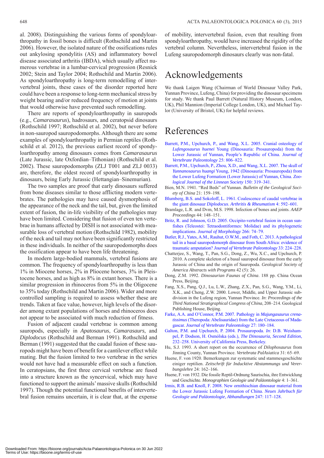al. 2008). Distinguishing the various forms of spondyloarthropathy in fossil bones is difficult (Rothschild and Martin 2006). However, the isolated nature of the ossifications rules out ankylosing spondylitis (AS) and inflammatory bowel disease associated arthritis (IBDA), which usually affect numerous vertebrae in a lumbar-cervical progression (Resnick 2002; Stein and Taylor 2004; Rothschild and Martin 2006). As spondyloarthropathy is long-term remodelling of intervertebral joints, these cases of the disorder reported here could have been a response to long-term mechanical stress by weight bearing and/or reduced frequency of motion at joints that would otherwise have prevented such remodelling.

There are reports of spondyloarthropathy in sauropods (e.g., *Camarasaurus*), hadrosaurs, and ceratopsid dinosaurs (Rothschild 1997; Rothschild et al. 2002), but never before in non-sauropod sauropodomorphs. Although there are some examples of spondyloarthropathy in Permian reptiles (Rothschild et al. 2012), the previous earliest record of spondyloarthropathy among dinosaurs comes from *Camarasaurus* (Late Jurassic, late Oxfordian–Tithonian) (Rothschild et al. 2002). These sauropodomorphs (ZLJ T001 and ZLJ 0033) are, therefore, the oldest record of spondyloarthropathy in dinosaurs, being Early Jurassic (Hettangian–Sinemurian).

The two samples are proof that early dinosaurs suffered from bone diseases similar to those afflicting modern vertebrates. The pathologies may have caused dysmorphosis of the appearance of the neck and the tail, but, given the limited extent of fusion, the in-life visibility of the pathologies may have been limited. Considering that fusion of even ten vertebrae in humans affected by DISH is not associated with measurable loss of vertebral motion (Rothschild 1982), mobility of the neck and tail may not have been significantly restricted in these individuals. In neither of the sauropodomorphs does the ossification appear to have been life threatening.

In modern large-bodied mammals, vertebral fusions are common. The frequency of spondyloarthropathy is less than 1% in Miocene horses, 2% in Pliocene horses, 3% in Pleistocene horses, and as high as 8% in extant horses. There is a similar progression in rhinoceros from 5% in the Oligocene to 35% today (Rothschild and Martin 2006). Wider and more controlled sampling is required to assess whether these are trends. Taken at face value, however, high levels of the disorder among extant populations of horses and rhinoceros does not appear to be associated with much reduction of fitness.

Fusion of adjacent caudal vertebrae is common among sauropods, especially in *Apatosaurus*, *Camarasaurs*, and *Diplodocus* (Rothschild and Berman 1991). Rothschild and Berman (1991) suggested that the caudal fusion of these sauropods might have been of benefit for a cantilever effect while mating. But the fusion limited to two vertebrae in the series would not have had a measurable effect on such a function. In ceratopsians, the first three cervical vertebrae are fused into a structure known as the syncervical, which may have functioned to support the animals' massive skulls (Rothschild 1997). Though the potential functional benefits of intervertebral fusion remains uncertain, it is clear that, at the expense

of mobility, intervertebral fusion, even that resulting from spondyloarthropathy, would have increased the rigidity of the vertebral column. Nevertheless, intervertebral fusion in the Lufeng sauropodomorph dinosaurs clearly was non-fatal.

### Acknowledgements

We thank Laigen Wang (Chairman of World Dinosaur Valley Park, Yunnan Province, Lufeng, China) for providing the dinosaur specimens for study. We thank Paul Barrett (Natural History Museum, London, UK), Phil Mannion (Imperial College London, UK), and Michael Taylor (University of Bristol, UK) for helpful reviews.

# References

- [Barrett, P.M., Upchurch, P., and Wang, X.L. 2005. Cranial osteology of](http://dx.doi.org/10.1671/0272-4634(2005)025%5b0806:COOLHY%5d2.0.CO;2) *Lufengosaurus huenei* Young (Dinosauria: Prosauropoda) from the Lower Jurassic of Yunnan, People's Republic of China. *Journal of Vertebrate Paleontology* 25: 806–822.
- [Barrett, P.M., Upchurch, P., Zhou, X.D., and Wang, X.L. 2007. The skull of](http://dx.doi.org/10.1111/j.1096-3642.2007.00290.x) *Yunnanosaurus huangi* Young, 1942 (Dinosauria: Prosauropoda) from the Lower Lufeng Formation (Lower Jurassic) of Yunnan, China. *Zoological Journal of the Linnean Society* 150: 319–341.
- Bien, M.N. 1941. "Red Beds" of Yunnan. *Bulletin of the Geological Society of China* 21: 159–198.
- [Blumberg, B.S. and Sokoloff, L. 1961. Coalescence of caudal vertebrae in](http://dx.doi.org/10.1002/art.1780040605) the giant dinosaur *Diplodocus*. *Arthritis & Rheumatism* 4: 592–601.
- Bramlage, L.R. and Dvm, M.S. 1998. Infection of bones and joints. *AAEP Proceedings* 44: 148–151.
- [Britz, R. and Johnson, G.D. 2005. Occipito-vertebral fusion in ocean sun](http://dx.doi.org/10.1002/jmor.10366)fishes (Teleostei: Tetraodontiformes: Molidae) and its phylogenetic implications. *Journal of Morphology* 266: 74–79.
- [Butler, R.J., Yates, A.M., Rauhut, O.W.M., and Foth, C. 2013. A pathological](http://dx.doi.org/10.1080/02724634.2012.710691) tail in a basal sauropodomorph dinosaur from South Africa: evidence of traumatic amputation? *Journal of Vertebrate Paleontology* 33: 224–228.
- Chatterjee, S., Wang, T., Pan, S.G., Dong, Z., Wu, X.C., and Upchurch, P. 2010. A complete skeleton of a basal sauropod dinosaur from the early Jurassic of China and the origin of Sauropoda. *Geological Society of America Abstracts with Programs* 42 (5): 26.
- Dong, Z.M. 1992. *Dinosaurian Faunas of China*. 188 pp. China Ocean Press, Beijing.
- Fang, X.S., Pang, Q.J., Lu, L.W., Zhang, Z.X., Pan, S.G., Wang, Y.M., Li, X.K., and Cheng, Z.W. 2000. Lower, Middle, and Upper Jurassic subdivision in the Lufeng region, Yunnan Province. *In*: *Proceedings of the Third National Stratigraphical Congress of China*, 208–214. Geological Publishing House, Beijing.
- Farke, A.A. and O'Connor, P.M. 2007. Pathology in *Majungasaurus crenatissimus* [\(Theropoda: Abelisauridae\) from the Late Cretaceous of Mada](http://dx.doi.org/10.1671/0272-4634(2007)27%5b180:PIMCTA%5d2.0.CO;2)gascar. *Journal of Vertebrate Paleontology* 27: 180–184.
- [Galton, P.M. and Upchurch, P. 2004. Prosauropoda.](http://dx.doi.org/10.1525/california/9780520242098.003.0014) *In*: D.B. Weishampel, P. Dodson, H. Osmólska (eds.), *The Dinosauria, Second Edition*, 232–258. University of California Press, Berkeley.
- Hu, S.J. 1993. A short report on the occurrence of *Dilophosaurus* from Jinning County, Yunnan Province. *Vertebrata PalAsiatica* 31: 65–69.
- Huene, F. von 1920. Bemerkungen zur systematic und stammesgeschichte einiger reptilien. *Zeitschrift für Inducktive Abstammungs und Vererbungslehre* 24: 162–166.
- Huene, F. von 1932. Die fossile Reptil-Ordnung Saurischia, ihre Entwicklung und Geschichte. *Monographien Geologie und Paläontologie* 4: 1–361.
- [Irmis, R.B. and Knoll, F. 2008. New ornithischian dinosaur material from](http://dx.doi.org/10.1127/0077-7749/2008/0247-0117) the Lower Jurassic Lufeng Formation of China. *Neues Jahrbuch für Geologie und Paläontologie, Abhandlungen* 247: 117–128.